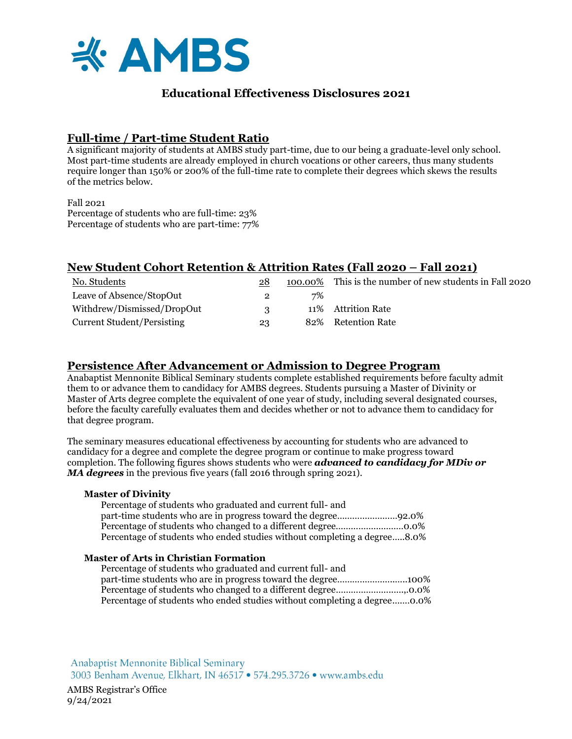

# **Educational Effectiveness Disclosures 2021**

# **Full-time / Part-time Student Ratio**

A significant majority of students at AMBS study part-time, due to our being a graduate-level only school. Most part-time students are already employed in church vocations or other careers, thus many students require longer than 150% or 200% of the full-time rate to complete their degrees which skews the results of the metrics below.

 $Fall 2021$ Percentage of students who are full-time: 23% Percentage of students who are part-time: 77%

# **New Student Cohort Retention & Attrition Rates (Fall 2020 – Fall 2021)**

| No. Students                      | 28  |    | 100.00% This is the number of new students in Fall 2020 |
|-----------------------------------|-----|----|---------------------------------------------------------|
| Leave of Absence/StopOut          |     | 7% |                                                         |
| Withdrew/Dismissed/DropOut        | - 2 |    | 11% Attrition Rate                                      |
| <b>Current Student/Persisting</b> | 23  |    | 82% Retention Rate                                      |

## **Persistence After Advancement or Admission to Degree Program**

Anabaptist Mennonite Biblical Seminary students complete established requirements before faculty admit them to or advance them to candidacy for AMBS degrees. Students pursuing a Master of Divinity or Master of Arts degree complete the equivalent of one year of study, including several designated courses, before the faculty carefully evaluates them and decides whether or not to advance them to candidacy for that degree program.

The seminary measures educational effectiveness by accounting for students who are advanced to candidacy for a degree and complete the degree program or continue to make progress toward completion. The following figures shows students who were *advanced to candidacy for MDiv or MA degrees* in the previous five years (fall 2016 through spring 2021).

### **Master of Divinity**

Percentage of students who graduated and current full- and part-time students who are in progress toward the degree……………………92.0% Percentage of students who changed to a different degree………………………0.0% Percentage of students who ended studies without completing a degree…..8.0%

### **Master of Arts in Christian Formation**

| Percentage of students who graduated and current full- and               |  |
|--------------------------------------------------------------------------|--|
|                                                                          |  |
|                                                                          |  |
| Percentage of students who ended studies without completing a degree0.0% |  |

Anabaptist Mennonite Biblical Seminary 3003 Benham Avenue, Elkhart, IN 46517 . 574.295.3726 . www.ambs.edu

AMBS Registrar's Office 9/24/2021